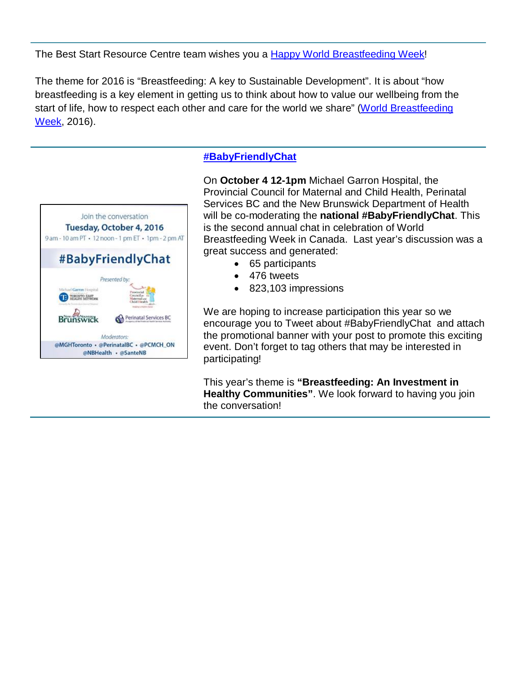The Best Start Resource Centre team wishes you a **Happy World Breastfeeding Week!** 

The theme for 2016 is "Breastfeeding: A key to Sustainable Development". It is about "how breastfeeding is a key element in getting us to think about how to value our wellbeing from the start of life, how to respect each other and care for the world we share" [\(World Breastfeeding](http://worldbreastfeedingweek.org/downloads.shtml)  [Week,](http://worldbreastfeedingweek.org/downloads.shtml) 2016).



## **[#BabyFriendlyChat](https://twitter.com/hashtag/babyfriendlychat)**

On **October 4 12-1pm** Michael Garron Hospital, the Provincial Council for Maternal and Child Health, Perinatal Services BC and the New Brunswick Department of Health will be co-moderating the **national #BabyFriendlyChat**. This is the second annual chat in celebration of World Breastfeeding Week in Canada. Last year's discussion was a great success and generated:

- 65 participants
- 476 tweets
- 823,103 impressions

We are hoping to increase participation this year so we encourage you to Tweet about #BabyFriendlyChat and attach the promotional banner with your post to promote this exciting event. Don't forget to tag others that may be interested in participating!

This year's theme is **"Breastfeeding: An Investment in Healthy Communities"**. We look forward to having you join the conversation!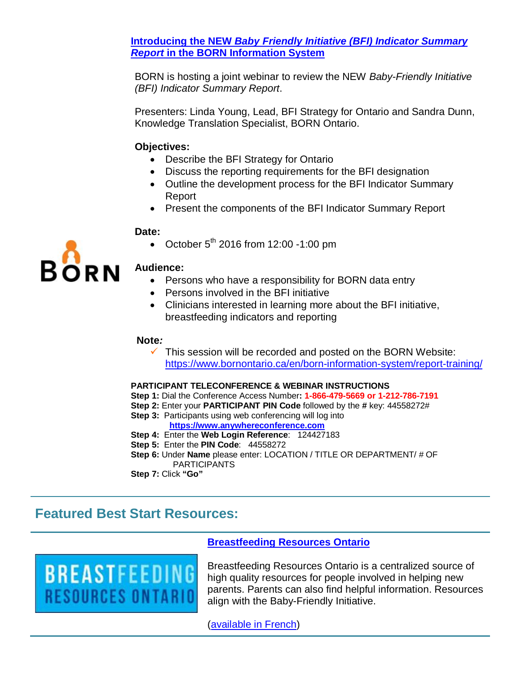**Introducing the NEW** *[Baby Friendly Initiative \(BFI\) Indicator Summary](https://twitter.com/BORNOntario/status/782941042052067328/photo/1?ref_src=twsrc%5Etfw)  Report* **in the [BORN Information System](https://twitter.com/BORNOntario/status/782941042052067328/photo/1?ref_src=twsrc%5Etfw)**

BORN is hosting a joint webinar to review the NEW *Baby-Friendly Initiative (BFI) Indicator Summary Report*.

Presenters: Linda Young, Lead, BFI Strategy for Ontario and Sandra Dunn, Knowledge Translation Specialist, BORN Ontario.

#### **Objectives:**

- Describe the BFI Strategy for Ontario
- Discuss the reporting requirements for the BFI designation
- Outline the development process for the BFI Indicator Summary Report
- Present the components of the BFI Indicator Summary Report

#### **Date:**

• October  $5^{th}$  2016 from 12:00 -1:00 pm



#### **Audience:**

- Persons who have a responsibility for BORN data entry
- Persons involved in the BFI initiative
- Clinicians interested in learning more about the BFI initiative, breastfeeding indicators and reporting

#### **Note***:*

 $\checkmark$  This session will be recorded and posted on the BORN Website: <https://www.bornontario.ca/en/born-information-system/report-training/>

#### **PARTICIPANT TELECONFERENCE & WEBINAR INSTRUCTIONS**

- **Step 1:** Dial the Conference Access Number**: 1-866-479-5669 or 1-212-786-7191**
- **Step 2:** Enter your **PARTICIPANT PIN Code** followed by the **#** key: 44558272#
- **Step 3: Participants using web conferencing will log into [https://www.anywhereconference.com](https://www.anywhereconference.com/)**
- **Step 4:** Enter the **Web Login Reference**: 124427183
- **Step 5:** Enter the **PIN Code**: 44558272
- **Step 6:** Under **Name** please enter: LOCATION / TITLE OR DEPARTMENT/ # OF **PARTICIPANTS**

**Step 7:** Click **"Go"**

# **Featured Best Start Resources:**



### **[Breastfeeding Resources Ontario](http://breastfeedingresourcesontario.ca/)**

Breastfeeding Resources Ontario is a centralized source of high quality resources for people involved in helping new parents. Parents can also find helpful information. Resources align with the Baby-Friendly Initiative.

[\(available in French\)](http://ressourcesallaitementontario.ca/)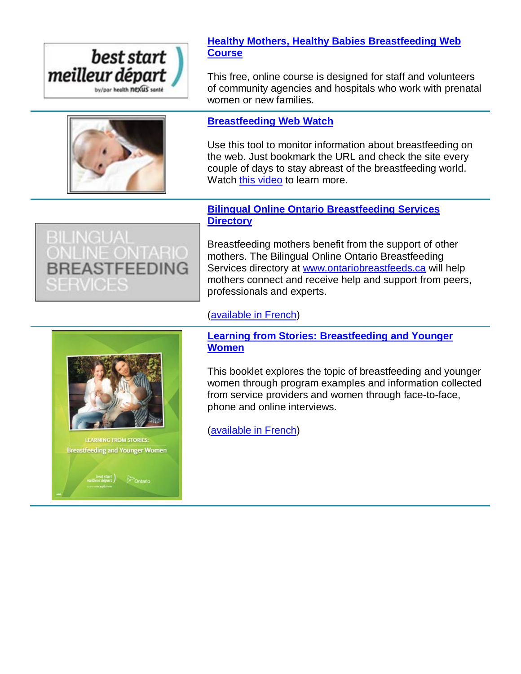



**[Healthy Mothers, Healthy Babies Breastfeeding Web](http://www.beststart.org/courses/)  [Course](http://www.beststart.org/courses/)**

This free, online course is designed for staff and volunteers of community agencies and hospitals who work with prenatal women or new families.

## **[Breastfeeding Web Watch](http://www.netvibes.com/beststartbreastfeeding#General)**

Use this tool to monitor information about breastfeeding on the web. Just bookmark the URL and check the site every couple of days to stay abreast of the breastfeeding world. Watch [this video](https://youtu.be/v21CLBtMoU0) to learn more.

## **[Bilingual Online Ontario Breastfeeding Services](http://ontariobreastfeeds.ca/)  [Directory](http://ontariobreastfeeds.ca/)**



Breastfeeding mothers benefit from the support of other mothers. The Bilingual Online Ontario Breastfeeding Services directory at [www.ontariobreastfeeds.ca](http://www.ontariobreastfeeds.ca/) will help mothers connect and receive help and support from peers, professionals and experts.

## [\(available in French\)](http://allaiterenontario.ca/)



est start)<br># départ ) *D* > Ontario

**[Learning from Stories: Breastfeeding and Younger](http://www.beststart.org/resources/breastfeeding/learningfromstories/BSRC_Case_Study_B27_final_ENG.pdf)  [Women](http://www.beststart.org/resources/breastfeeding/learningfromstories/BSRC_Case_Study_B27_final_ENG.pdf)**

This booklet explores the topic of breastfeeding and younger women through program examples and information collected from service providers and women through face-to-face, phone and online interviews.

[\(available in French\)](http://www.beststart.org/resources/breastfeeding/learningfromstories/B27_CaseStudy_French_final.pdf)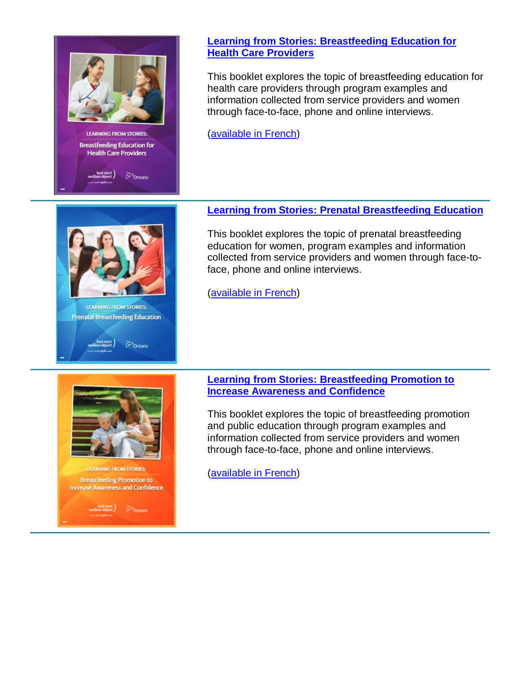

 $E$ Ontario

## **[Learning from Stories: Breastfeeding Education for](http://www.beststart.org/resources/breastfeeding/learningfromstories/BSRC_Case_Study_B28_final_ENG.pdf)  [Health Care Providers](http://www.beststart.org/resources/breastfeeding/learningfromstories/BSRC_Case_Study_B28_final_ENG.pdf)**

This booklet explores the topic of breastfeeding education for health care providers through program examples and information collected from service providers and women through face-to-face, phone and online interviews.

[\(available in French\)](http://www.beststart.org/resources/breastfeeding/learningfromstories/B28_CaseStudy_French_final.pdf)



This booklet explores the topic of prenatal breastfeeding education for women, program examples and information collected from service providers and women through face-toface, phone and online interviews.

[\(available in French\)](http://www.beststart.org/resources/breastfeeding/learningfromstories/B29_CaseStudy_French_final.pdf)

**EARNING FROM STORIES: Breastfeeding Promotion to Increase Awareness and Confidence Separt** ) *Contains* 

**LEARNING FROM STORIES: Prenatal Breastfeeding Education** 

best start)<br>eilleur départ

 $\mathcal{P}_{\text{Ontario}}$ 

**[Learning from Stories: Breastfeeding Promotion to](http://www.beststart.org/resources/breastfeeding/learningfromstories/BSRC_Case_Study_B30_final_ENG.pdf)  [Increase Awareness and Confidence](http://www.beststart.org/resources/breastfeeding/learningfromstories/BSRC_Case_Study_B30_final_ENG.pdf)**

This booklet explores the topic of breastfeeding promotion and public education through program examples and information collected from service providers and women through face-to-face, phone and online interviews.

[\(available in French\)](http://www.beststart.org/resources/breastfeeding/learningfromstories/B30_CaseStudy_French_final.pdf)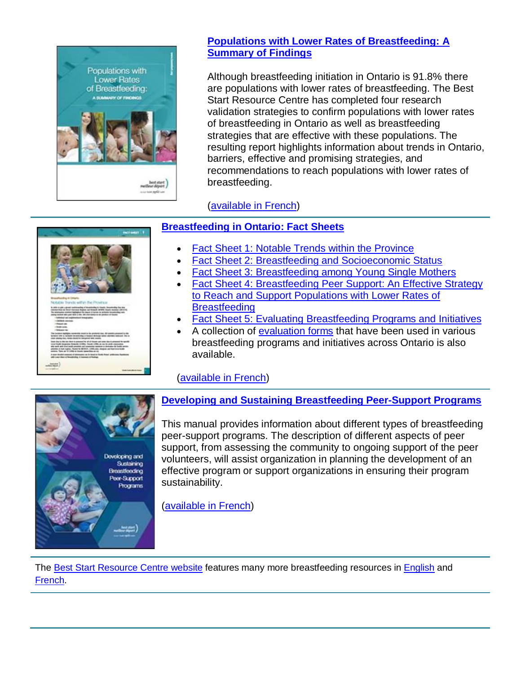

## **[Populations with Lower Rates of Breastfeeding: A](http://www.beststart.org/resources/breastfeeding/B09-E_BF_Summary_EN_Aug2015.pdf)  [Summary of Findings](http://www.beststart.org/resources/breastfeeding/B09-E_BF_Summary_EN_Aug2015.pdf)**

Although breastfeeding initiation in Ontario is 91.8% there are populations with lower rates of breastfeeding. The Best Start Resource Centre has completed four research validation strategies to confirm populations with lower rates of breastfeeding in Ontario as well as breastfeeding strategies that are effective with these populations. The resulting report highlights information about trends in Ontario, barriers, effective and promising strategies, and recommendations to reach populations with lower rates of breastfeeding.

# [\(available in French\)](http://www.beststart.org/resources/breastfeeding/B09-F_BF_Summary_FR_Aug2015.pdf)

# **[Breastfeeding in Ontario: Fact Sheets](http://www.beststart.org/cgi-bin/commerce.cgi?search=action&category=B00E&advanced=yes&sortkey=sku&sortorder=descending)**

- [Fact Sheet 1: Notable Trends within the Province](http://www.beststart.org/resources/breastfeeding/B15-E_Breastfeeding_factsheet_1_rev.pdf)
- [Fact Sheet 2: Breastfeeding and Socioeconomic Status](http://www.beststart.org/resources/breastfeeding/B16-E_Breastfeeding_factsheet_2_rev.pdf)
- [Fact Sheet 3: Breastfeeding among Young Single Mothers](http://www.beststart.org/resources/breastfeeding/B17-E_Breastfeeding_factsheet_3_rev.pdf)
- [Fact Sheet 4: Breastfeeding Peer Support: An Effective Strategy](http://www.beststart.org/resources/breastfeeding/B18-E_Breastfeeding_factsheet_4_rev.pdf)  [to Reach and Support Populations with Lower Rates of](http://www.beststart.org/resources/breastfeeding/B18-E_Breastfeeding_factsheet_4_rev.pdf)  **[Breastfeeding](http://www.beststart.org/resources/breastfeeding/B18-E_Breastfeeding_factsheet_4_rev.pdf)**
- [Fact Sheet 5: Evaluating Breastfeeding Programs and Initiatives](http://www.beststart.org/resources/breastfeeding/B25_BF_evaluation_factsheet_fnl_EN.pdf)
- A collection of [evaluation forms](http://www.beststart.org/resources/breastfeeding/B25_Add_Breastfeeding%20Program%20Evaluation_ENG.docx) that have been used in various breastfeeding programs and initiatives across Ontario is also available.

# [\(available in French\)](http://www.beststart.org/cgi-bin/commerce.cgi?search=action&category=B00F&advanced=yes&sortkey=sku&sortorder=descending)



**[Developing and Sustaining Breastfeeding Peer-Support Programs](http://www.beststart.org/resources/breastfeeding/B10_BF_Peer_Support_Programs_ENG_final.pdf)**

This manual provides information about different types of breastfeeding peer-support programs. The description of different aspects of peer support, from assessing the community to ongoing support of the peer volunteers, will assist organization in planning the development of an effective program or support organizations in ensuring their program sustainability.

[\(available in French\)](http://www.beststart.org/resources/breastfeeding/B10_Peer_Support_Programs_FR_final.pdf)

The [Best Start Resource Centre website](http://www.beststart.org/cgi-bin/commerce.cgi?search=action&category=B00E&advanced=yes&sortkey=sku&sortorder=descending) features many more breastfeeding resources in [English](http://www.beststart.org/cgi-bin/commerce.cgi?search=action&category=B00E&advanced=yes&sortkey=sku&sortorder=descending) and [French.](http://www.beststart.org/cgi-bin/commerce.cgi?search=action&category=B00F&advanced=yes&sortkey=sku&sortorder=descending)

| stray to competitive con-<br>Autobia Translei within the Province                                                                                                                                                                                                        |  |
|--------------------------------------------------------------------------------------------------------------------------------------------------------------------------------------------------------------------------------------------------------------------------|--|
|                                                                                                                                                                                                                                                                          |  |
| <b>A GON IT LOW LIGHTER HARMS</b><br>a arm<br>By Graced of Galanty via an<br>plantage interesting the control with the first and an exchange to the parties<br>1 licensing and explorational interactation<br>1-CASTAGE AND HOME<br><b>I Repairing</b><br>- North sales. |  |
| <b>Children Inc.</b>                                                                                                                                                                                                                                                     |  |
| hir laraması mail<br><b>Do accessor of</b><br><b>In products due</b><br>sind on a school in publ                                                                                                                                                                         |  |
| to with sixt tire testifyin<br>---<br>1,4993<br>Into at that makes. Poster in MERER, LL<br><b>SHANK AND</b><br><b>MAN TRANSIE OF LITTLE IN 1</b>                                                                                                                         |  |
| A main Amadod commune af todomaster (as to brust) at fourte Amad.<br>Altri Lunar Maur at Novalisting, it fourteent at Madous.<br>$\overline{a}$                                                                                                                          |  |
|                                                                                                                                                                                                                                                                          |  |